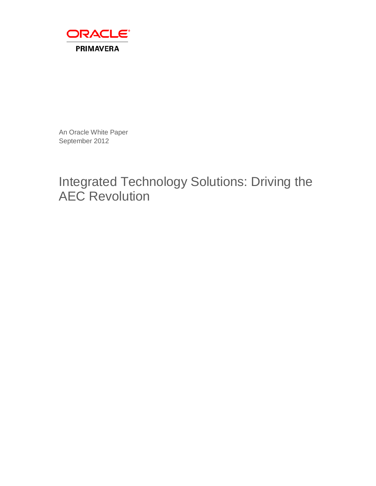

An Oracle White Paper September 2012

# Integrated Technology Solutions: Driving the AEC Revolution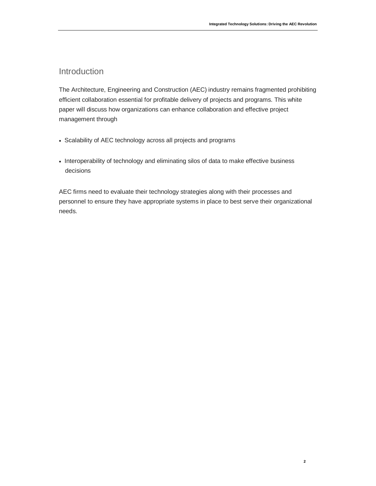# Introduction

The Architecture, Engineering and Construction (AEC) industry remains fragmented prohibiting efficient collaboration essential for profitable delivery of projects and programs. This white paper will discuss how organizations can enhance collaboration and effective project management through

- Scalability of AEC technology across all projects and programs
- Interoperability of technology and eliminating silos of data to make effective business decisions

AEC firms need to evaluate their technology strategies along with their processes and personnel to ensure they have appropriate systems in place to best serve their organizational needs.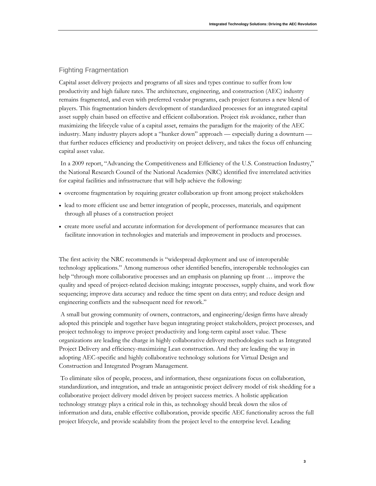## Fighting Fragmentation

Capital asset delivery projects and programs of all sizes and types continue to suffer from low productivity and high failure rates. The architecture, engineering, and construction (AEC) industry remains fragmented, and even with preferred vendor programs, each project features a new blend of players. This fragmentation hinders development of standardized processes for an integrated capital asset supply chain based on effective and efficient collaboration. Project risk avoidance, rather than maximizing the lifecycle value of a capital asset, remains the paradigm for the majority of the AEC industry. Many industry players adopt a "hunker down" approach — especially during a downturn that further reduces efficiency and productivity on project delivery, and takes the focus off enhancing capital asset value.

In a 2009 report, "Advancing the Competitiveness and Efficiency of the U.S. Construction Industry," the National Research Council of the National Academies (NRC) identified five interrelated activities for capital facilities and infrastructure that will help achieve the following:

- overcome fragmentation by requiring greater collaboration up front among project stakeholders
- lead to more efficient use and better integration of people, processes, materials, and equipment through all phases of a construction project
- create more useful and accurate information for development of performance measures that can facilitate innovation in technologies and materials and improvement in products and processes.

The first activity the NRC recommends is "widespread deployment and use of interoperable technology applications." Among numerous other identified benefits, interoperable technologies can help "through more collaborative processes and an emphasis on planning up front ... improve the quality and speed of project-related decision making; integrate processes, supply chains, and work flow sequencing; improve data accuracy and reduce the time spent on data entry; and reduce design and engineering conflicts and the subsequent need for rework."

A small but growing community of owners, contractors, and engineering/design firms have already adopted this principle and together have begun integrating project stakeholders, project processes, and project technology to improve project productivity and long-term capital asset value. These organizations are leading the charge in highly collaborative delivery methodologies such as Integrated Project Delivery and efficiency-maximizing Lean construction. And they are leading the way in adopting AEC-specific and highly collaborative technology solutions for Virtual Design and Construction and Integrated Program Management.

To eliminate silos of people, process, and information, these organizations focus on collaboration, standardization, and integration, and trade an antagonistic project delivery model of risk shedding for a collaborative project delivery model driven by project success metrics. A holistic application technology strategy plays a critical role in this, as technology should break down the silos of information and data, enable effective collaboration, provide specific AEC functionality across the full project lifecycle, and provide scalability from the project level to the enterprise level. Leading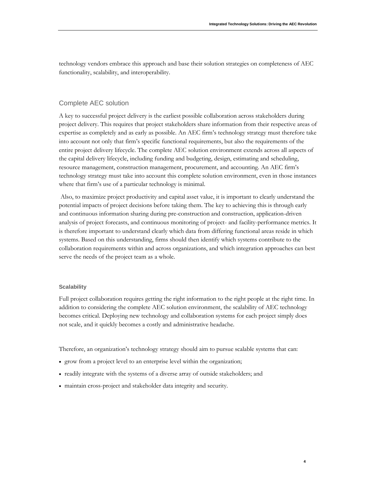technology vendors embrace this approach and base their solution strategies on completeness of AEC functionality, scalability, and interoperability.

### Complete AEC solution

A key to successful project delivery is the earliest possible collaboration across stakeholders during project delivery. This requires that project stakeholders share information from their respective areas of expertise as completely and as early as possible. An AEC firm's technology strategy must therefore take into account not only that firm's specific functional requirements, but also the requirements of the entire project delivery lifecycle. The complete AEC solution environment extends across all aspects of the capital delivery lifecycle, including funding and budgeting, design, estimating and scheduling, resource management, construction management, procurement, and accounting. An AEC firm's technology strategy must take into account this complete solution environment, even in those instances where that firm's use of a particular technology is minimal.

Also, to maximize project productivity and capital asset value, it is important to clearly understand the potential impacts of project decisions before taking them. The key to achieving this is through early and continuous information sharing during pre-construction and construction, application-driven analysis of project forecasts, and continuous monitoring of project- and facility-performance metrics. It is therefore important to understand clearly which data from differing functional areas reside in which systems. Based on this understanding, firms should then identify which systems contribute to the collaboration requirements within and across organizations, and which integration approaches can best serve the needs of the project team as a whole.

#### **Scalability**

Full project collaboration requires getting the right information to the right people at the right time. In addition to considering the complete AEC solution environment, the scalability of AEC technology becomes critical. Deploying new technology and collaboration systems for each project simply does not scale, and it quickly becomes a costly and administrative headache.

Therefore, an organization's technology strategy should aim to pursue scalable systems that can:

- grow from a project level to an enterprise level within the organization;
- readily integrate with the systems of a diverse array of outside stakeholders; and
- maintain cross-project and stakeholder data integrity and security.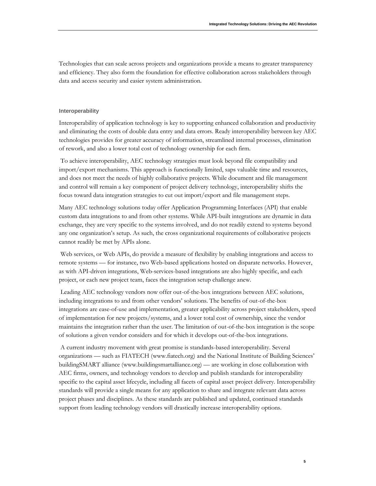Technologies that can scale across projects and organizations provide a means to greater transparency and efficiency. They also form the foundation for effective collaboration across stakeholders through data and access security and easier system administration.

#### **Interoperability**

Interoperability of application technology is key to supporting enhanced collaboration and productivity and eliminating the costs of double data entry and data errors. Ready interoperability between key AEC technologies provides for greater accuracy of information, streamlined internal processes, elimination of rework, and also a lower total cost of technology ownership for each firm.

To achieve interoperability, AEC technology strategies must look beyond file compatibility and import/export mechanisms. This approach is functionally limited, saps valuable time and resources, and does not meet the needs of highly collaborative projects. While document and file management and control will remain a key component of project delivery technology, interoperability shifts the focus toward data integration strategies to cut out import/export and file management steps.

Many AEC technology solutions today offer Application Programming Interfaces (API) that enable custom data integrations to and from other systems. While API-built integrations are dynamic in data exchange, they are very specific to the systems involved, and do not readily extend to systems beyond any one organization's setup. As such, the cross organizational requirements of collaborative projects cannot readily be met by APIs alone.

Web services, or Web APIs, do provide a measure of flexibility by enabling integrations and access to remote systems — for instance, two Web-based applications hosted on disparate networks. However, as with API-driven integrations, Web-services-based integrations are also highly specific, and each project, or each new project team, faces the integration setup challenge anew.

Leading AEC technology vendors now offer out-of-the-box integrations between AEC solutions, including integrations to and from other vendors' solutions. The benefits of out-of-the-box integrations are ease-of-use and implementation, greater applicability across project stakeholders, speed of implementation for new projects/systems, and a lower total cost of ownership, since the vendor maintains the integration rather than the user. The limitation of out-of-the-box integration is the scope of solutions a given vendor considers and for which it develops out-of-the-box integrations.

A current industry movement with great promise is standards-based interoperability. Several organizations — such as FIATECH (www.fiatech.org) and the National Institute of Building Sciences' buildingSMART alliance (www.buildingsmartalliance.org) — are working in close collaboration with AEC firms, owners, and technology vendors to develop and publish standards for interoperability specific to the capital asset lifecycle, including all facets of capital asset project delivery. Interoperability standards will provide a single means for any application to share and integrate relevant data across project phases and disciplines. As these standards are published and updated, continued standards support from leading technology vendors will drastically increase interoperability options.